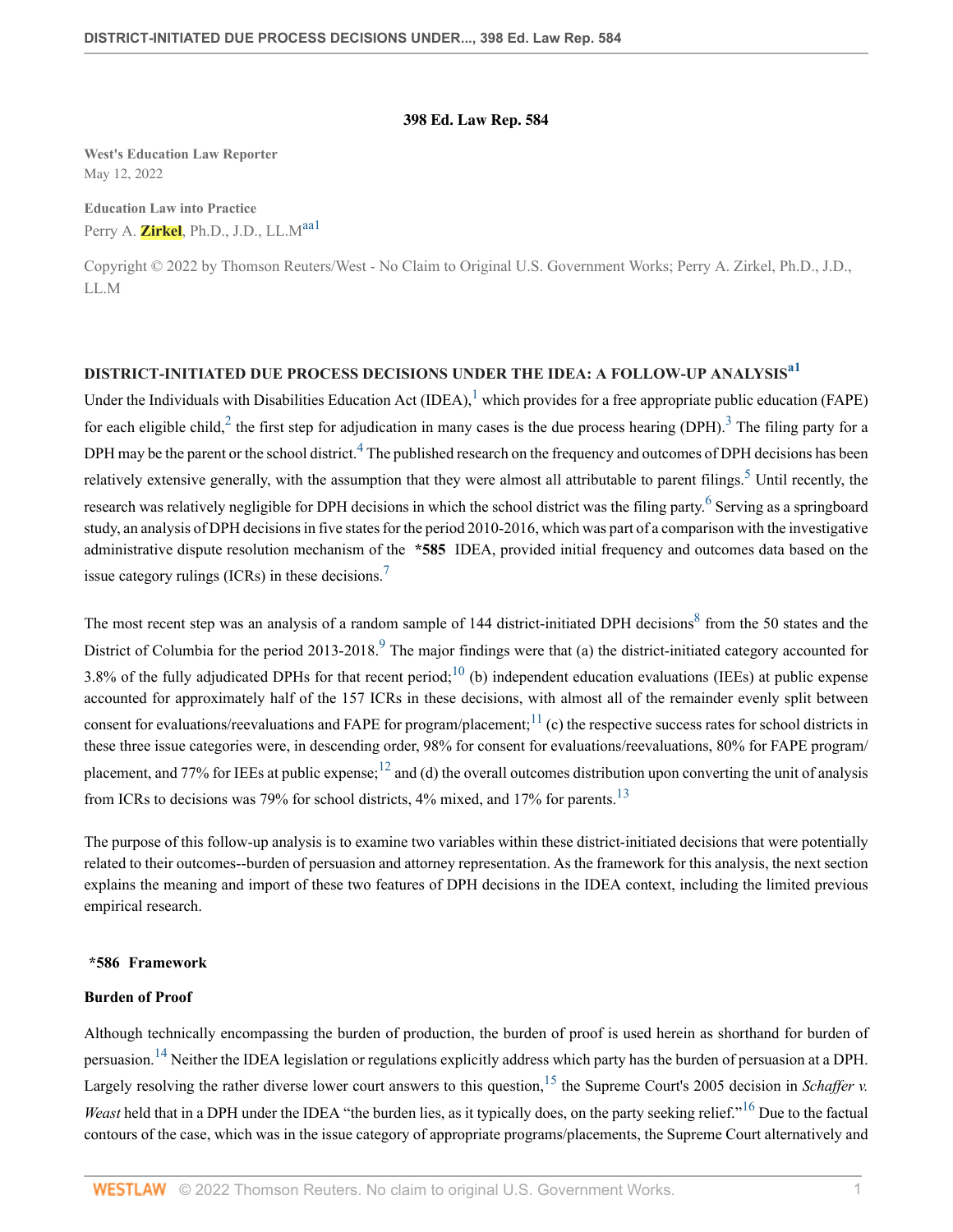### <span id="page-0-9"></span><span id="page-0-7"></span><span id="page-0-6"></span><span id="page-0-4"></span><span id="page-0-2"></span><span id="page-0-1"></span><span id="page-0-0"></span>**398 Ed. Law Rep. 584**

**West's Education Law Reporter** May 12, 2022

**Education Law into Practice** Perry A. **Zirkel**, Ph.D., J.D., LL.M<sup>[aa1](#page-4-0)</sup>

Copyright © 2022 by Thomson Reuters/West - No Claim to Original U.S. Government Works; Perry A. Zirkel, Ph.D., J.D., LL.M

# **DISTRICT-INITIATED DUE PROCESS DECISIONS UNDER THE IDEA: A FOLLOW-UP ANALYSIS[a1](#page-4-1)**

<span id="page-0-5"></span><span id="page-0-3"></span>Under the Individuals with Disabilities Education Act  $(IDEA)$ , which provides for a free appropriate public education (FAPE) for each eligible child,  $2$  the first step for adjudication in many cases is the due process hearing (DPH). <sup>[3](#page-4-4)</sup> The filing party for a DPH may be the parent or the school district.<sup>[4](#page-4-5)</sup> The published research on the frequency and outcomes of DPH decisions has been relatively extensive generally, with the assumption that they were almost all attributable to parent filings.<sup>[5](#page-4-6)</sup> Until recently, the research was relatively negligible for DPH decisions in which the school district was the filing party. <sup>[6](#page-4-7)</sup> Serving as a springboard study, an analysis of DPH decisions in five states for the period 2010-2016, which was part of a comparison with the investigative administrative dispute resolution mechanism of the **\*585** IDEA, provided initial frequency and outcomes data based on the issue category rulings (ICRs) in these decisions.[7](#page-4-8)

<span id="page-0-12"></span><span id="page-0-11"></span><span id="page-0-10"></span><span id="page-0-8"></span>The most recent step was an analysis of a random sample of 144 district-initiated DPH decisions<sup>[8](#page-5-0)</sup> from the 50 states and the District of Columbia for the period 2013-2018.<sup>[9](#page-5-1)</sup> The major findings were that (a) the district-initiated category accounted for 3.8% of the fully adjudicated DPHs for that recent period;<sup>[10](#page-5-2)</sup> (b) independent education evaluations (IEEs) at public expense accounted for approximately half of the 157 ICRs in these decisions, with almost all of the remainder evenly split between consent for evaluations/reevaluations and FAPE for program/placement;<sup>[11](#page-5-3)</sup> (c) the respective success rates for school districts in these three issue categories were, in descending order, 98% for consent for evaluations/reevaluations, 80% for FAPE program/ placement, and 77% for IEEs at public expense;<sup>[12](#page-5-4)</sup> and (d) the overall outcomes distribution upon converting the unit of analysis from ICRs to decisions was 79% for school districts, 4% mixed, and 17% for parents.<sup>[13](#page-5-5)</sup>

<span id="page-0-14"></span><span id="page-0-13"></span>The purpose of this follow-up analysis is to examine two variables within these district-initiated decisions that were potentially related to their outcomes--burden of persuasion and attorney representation. As the framework for this analysis, the next section explains the meaning and import of these two features of DPH decisions in the IDEA context, including the limited previous empirical research.

#### **\*586 Framework**

#### **Burden of Proof**

<span id="page-0-17"></span><span id="page-0-16"></span><span id="page-0-15"></span>Although technically encompassing the burden of production, the burden of proof is used herein as shorthand for burden of persuasion.<sup>[14](#page-5-6)</sup> Neither the IDEA legislation or regulations explicitly address which party has the burden of persuasion at a DPH. Largely resolving the rather diverse lower court answers to this question,<sup>[15](#page-5-7)</sup> the Supreme Court's 2005 decision in *Schaffer v. Weast* held that in a DPH under the IDEA "the burden lies, as it typically does, on the party seeking relief."<sup>[16](#page-5-8)</sup> Due to the factual contours of the case, which was in the issue category of appropriate programs/placements, the Supreme Court alternatively and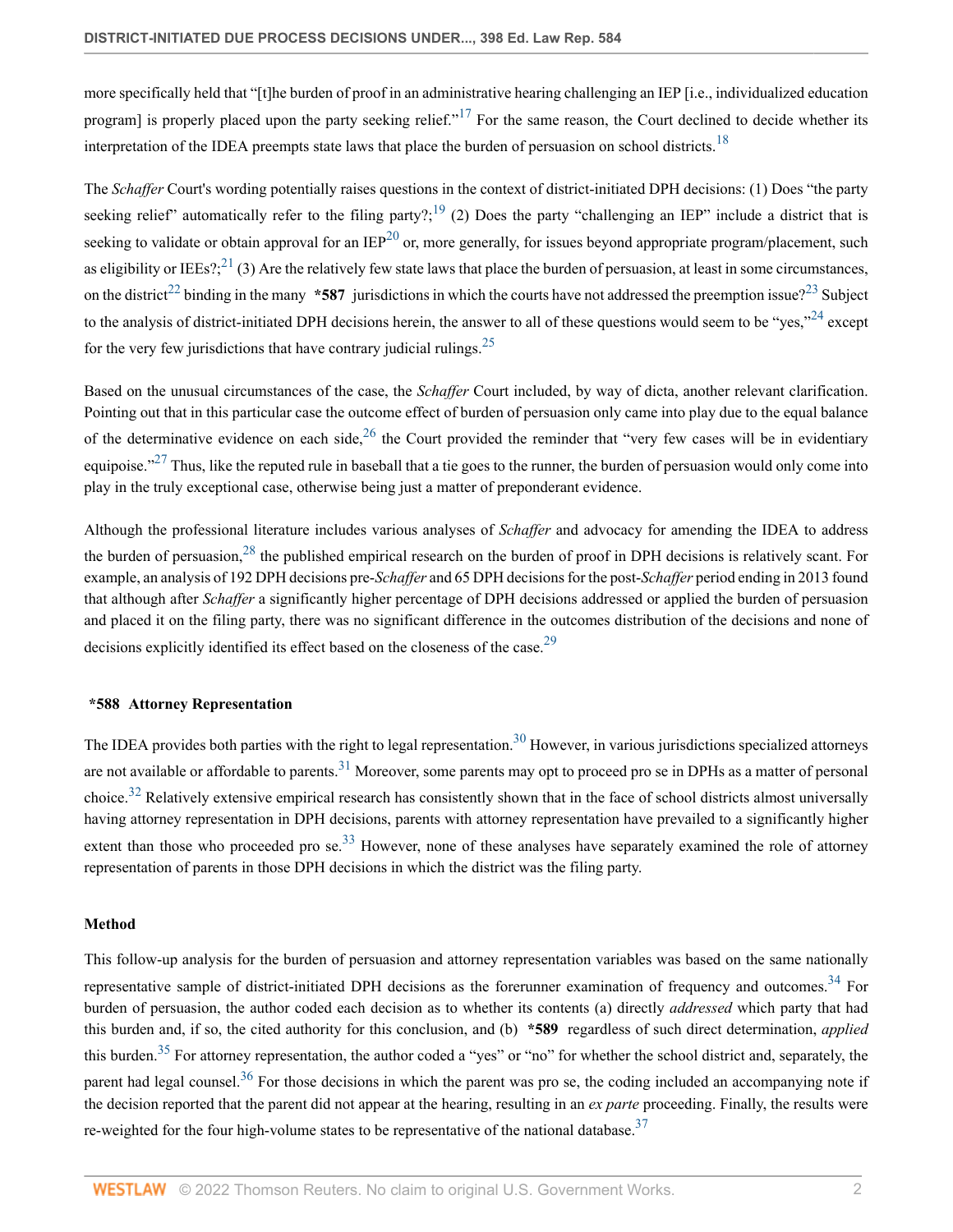<span id="page-1-1"></span><span id="page-1-0"></span>more specifically held that "[t]he burden of proof in an administrative hearing challenging an IEP [i.e., individualized education program] is properly placed upon the party seeking relief."<sup>[17](#page-5-9)</sup> For the same reason, the Court declined to decide whether its interpretation of the IDEA preempts state laws that place the burden of persuasion on school districts.<sup>[18](#page-5-10)</sup>

<span id="page-1-6"></span><span id="page-1-5"></span><span id="page-1-4"></span><span id="page-1-3"></span><span id="page-1-2"></span>The *Schaffer* Court's wording potentially raises questions in the context of district-initiated DPH decisions: (1) Does "the party seeking relief" automatically refer to the filing party?;<sup>[19](#page-5-11)</sup> (2) Does the party "challenging an IEP" include a district that is seeking to validate or obtain approval for an  $IEP^{20}$  $IEP^{20}$  $IEP^{20}$  or, more generally, for issues beyond appropriate program/placement, such as eligibility or IEEs?;  $^{21}$  $^{21}$  $^{21}$  (3) Are the relatively few state laws that place the burden of persuasion, at least in some circumstances, on the district<sup>[22](#page-6-1)</sup> binding in the many **\*587** jurisdictions in which the courts have not addressed the preemption issue?<sup>[23](#page-6-2)</sup> Subject to the analysis of district-initiated DPH decisions herein, the answer to all of these questions would seem to be "yes,"<sup>[24](#page-6-3)</sup> except for the very few jurisdictions that have contrary judicial rulings.<sup>[25](#page-6-4)</sup>

<span id="page-1-10"></span><span id="page-1-9"></span><span id="page-1-8"></span><span id="page-1-7"></span>Based on the unusual circumstances of the case, the *Schaffer* Court included, by way of dicta, another relevant clarification. Pointing out that in this particular case the outcome effect of burden of persuasion only came into play due to the equal balance of the determinative evidence on each side,  $^{26}$  $^{26}$  $^{26}$  the Court provided the reminder that "very few cases will be in evidentiary equipoise." $^{27}$  $^{27}$  $^{27}$  Thus, like the reputed rule in baseball that a tie goes to the runner, the burden of persuasion would only come into play in the truly exceptional case, otherwise being just a matter of preponderant evidence.

<span id="page-1-11"></span>Although the professional literature includes various analyses of *Schaffer* and advocacy for amending the IDEA to address the burden of persuasion,  $28$  the published empirical research on the burden of proof in DPH decisions is relatively scant. For example, an analysis of 192 DPH decisions pre-*Schaffer* and 65 DPH decisions for the post-*Schaffer* period ending in 2013 found that although after *Schaffer* a significantly higher percentage of DPH decisions addressed or applied the burden of persuasion and placed it on the filing party, there was no significant difference in the outcomes distribution of the decisions and none of decisions explicitly identified its effect based on the closeness of the case.<sup>[29](#page-6-8)</sup>

#### <span id="page-1-14"></span><span id="page-1-13"></span><span id="page-1-12"></span>**\*588 Attorney Representation**

<span id="page-1-15"></span>The IDEA provides both parties with the right to legal representation.<sup>[30](#page-6-9)</sup> However, in various jurisdictions specialized attorneys are not available or affordable to parents.<sup>[31](#page-7-0)</sup> Moreover, some parents may opt to proceed pro se in DPHs as a matter of personal choice.<sup>[32](#page-7-1)</sup> Relatively extensive empirical research has consistently shown that in the face of school districts almost universally having attorney representation in DPH decisions, parents with attorney representation have prevailed to a significantly higher extent than those who proceeded pro se.<sup>[33](#page-7-2)</sup> However, none of these analyses have separately examined the role of attorney representation of parents in those DPH decisions in which the district was the filing party.

#### <span id="page-1-16"></span>**Method**

<span id="page-1-20"></span><span id="page-1-19"></span><span id="page-1-18"></span><span id="page-1-17"></span>This follow-up analysis for the burden of persuasion and attorney representation variables was based on the same nationally representative sample of district-initiated DPH decisions as the forerunner examination of frequency and outcomes.<sup>[34](#page-7-3)</sup> For burden of persuasion, the author coded each decision as to whether its contents (a) directly *addressed* which party that had this burden and, if so, the cited authority for this conclusion, and (b) **\*589** regardless of such direct determination, *applied* this burden.<sup>[35](#page-7-4)</sup> For attorney representation, the author coded a "yes" or "no" for whether the school district and, separately, the parent had legal counsel.<sup>[36](#page-7-5)</sup> For those decisions in which the parent was pro se, the coding included an accompanying note if the decision reported that the parent did not appear at the hearing, resulting in an *ex parte* proceeding. Finally, the results were re-weighted for the four high-volume states to be representative of the national database.<sup>[37](#page-7-6)</sup>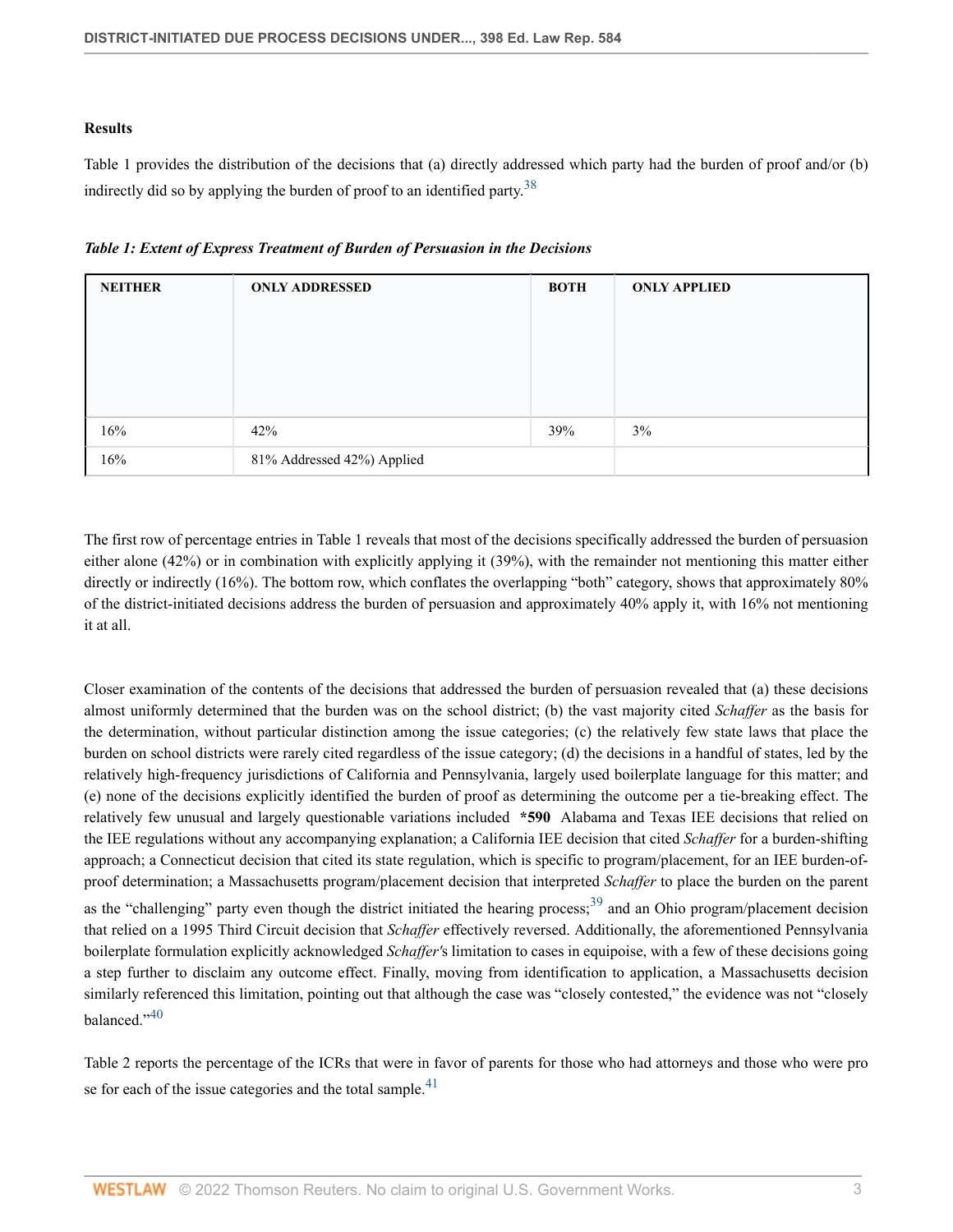# **Results**

<span id="page-2-0"></span>Table 1 provides the distribution of the decisions that (a) directly addressed which party had the burden of proof and/or (b) indirectly did so by applying the burden of proof to an identified party.<sup>[38](#page-7-7)</sup>

|  | Table 1: Extent of Express Treatment of Burden of Persuasion in the Decisions |  |  |  |
|--|-------------------------------------------------------------------------------|--|--|--|
|  |                                                                               |  |  |  |

| <b>NEITHER</b> | <b>ONLY ADDRESSED</b>      | <b>BOTH</b> | <b>ONLY APPLIED</b> |
|----------------|----------------------------|-------------|---------------------|
|                |                            |             |                     |
|                |                            |             |                     |
|                |                            |             |                     |
|                |                            |             |                     |
| 16%            | 42%                        | 39%         | 3%                  |
| 16%            | 81% Addressed 42%) Applied |             |                     |

The first row of percentage entries in Table 1 reveals that most of the decisions specifically addressed the burden of persuasion either alone (42%) or in combination with explicitly applying it (39%), with the remainder not mentioning this matter either directly or indirectly (16%). The bottom row, which conflates the overlapping "both" category, shows that approximately 80% of the district-initiated decisions address the burden of persuasion and approximately 40% apply it, with 16% not mentioning it at all.

Closer examination of the contents of the decisions that addressed the burden of persuasion revealed that (a) these decisions almost uniformly determined that the burden was on the school district; (b) the vast majority cited *Schaffer* as the basis for the determination, without particular distinction among the issue categories; (c) the relatively few state laws that place the burden on school districts were rarely cited regardless of the issue category; (d) the decisions in a handful of states, led by the relatively high-frequency jurisdictions of California and Pennsylvania, largely used boilerplate language for this matter; and (e) none of the decisions explicitly identified the burden of proof as determining the outcome per a tie-breaking effect. The relatively few unusual and largely questionable variations included **\*590** Alabama and Texas IEE decisions that relied on the IEE regulations without any accompanying explanation; a California IEE decision that cited *Schaffer* for a burden-shifting approach; a Connecticut decision that cited its state regulation, which is specific to program/placement, for an IEE burden-ofproof determination; a Massachusetts program/placement decision that interpreted *Schaffer* to place the burden on the parent as the "challenging" party even though the district initiated the hearing process;<sup>[39](#page-7-8)</sup> and an Ohio program/placement decision that relied on a 1995 Third Circuit decision that *Schaffer* effectively reversed. Additionally, the aforementioned Pennsylvania boilerplate formulation explicitly acknowledged *Schaffer'*s limitation to cases in equipoise, with a few of these decisions going a step further to disclaim any outcome effect. Finally, moving from identification to application, a Massachusetts decision similarly referenced this limitation, pointing out that although the case was "closely contested," the evidence was not "closely balanced."[40](#page-8-0)

<span id="page-2-3"></span><span id="page-2-2"></span><span id="page-2-1"></span>Table 2 reports the percentage of the ICRs that were in favor of parents for those who had attorneys and those who were pro se for each of the issue categories and the total sample.<sup>[41](#page-8-1)</sup>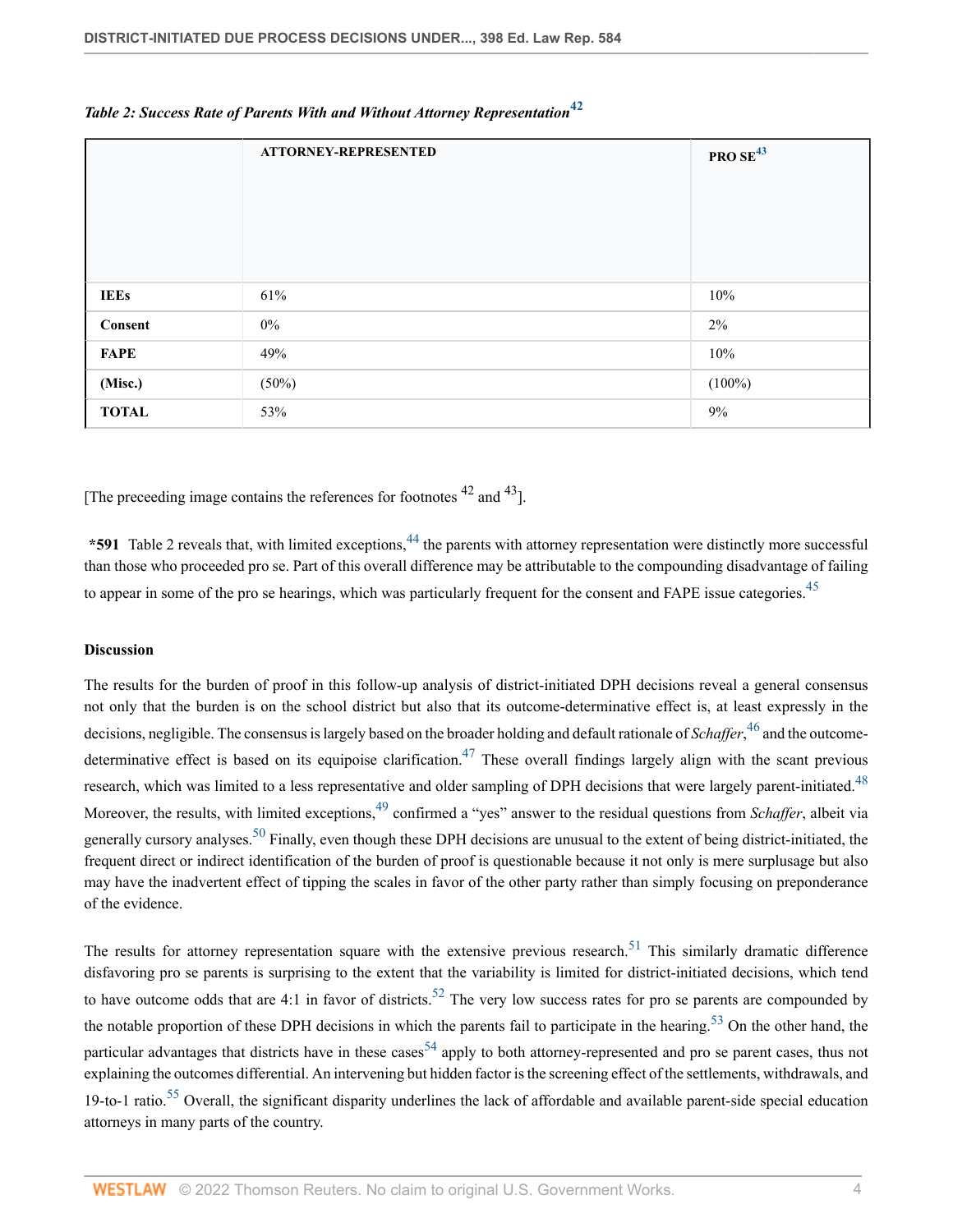|              | <b>ATTORNEY-REPRESENTED</b> | <b>PRO SE<sup>43</sup></b> |
|--------------|-----------------------------|----------------------------|
| <b>IEEs</b>  | 61%                         | 10%                        |
| Consent      | $0\%$                       | 2%                         |
| <b>FAPE</b>  | 49%                         | 10%                        |
| (Misc.)      | (50%)                       | $(100\%)$                  |
| <b>TOTAL</b> | 53%                         | 9%                         |

# <span id="page-3-0"></span>*Table 2: Success Rate of Parents With and Without Attorney Representation***[42](#page-8-2)**

[The preceeding image contains the references for footnotes  $42$  and  $43$ ].

<span id="page-3-2"></span><span id="page-3-1"></span>\*591 Table 2 reveals that, with limited exceptions,<sup>[44](#page-8-3)</sup> the parents with attorney representation were distinctly more successful than those who proceeded pro se. Part of this overall difference may be attributable to the compounding disadvantage of failing to appear in some of the pro se hearings, which was particularly frequent for the consent and FAPE issue categories.<sup>[45](#page-8-4)</sup>

### **Discussion**

<span id="page-3-6"></span><span id="page-3-5"></span><span id="page-3-4"></span><span id="page-3-3"></span>The results for the burden of proof in this follow-up analysis of district-initiated DPH decisions reveal a general consensus not only that the burden is on the school district but also that its outcome-determinative effect is, at least expressly in the decisions, negligible. The consensus is largely based on the broader holding and default rationale of *Schaffer*, [46](#page-8-5) and the outcome-determinative effect is based on its equipoise clarification.<sup>[47](#page-8-6)</sup> These overall findings largely align with the scant previous research, which was limited to a less representative and older sampling of DPH decisions that were largely parent-initiated.<sup>[48](#page-8-7)</sup> Moreover, the results, with limited exceptions,<sup>[49](#page-8-8)</sup> confirmed a "yes" answer to the residual questions from *Schaffer*, albeit via generally cursory analyses.<sup>[50](#page-8-9)</sup> Finally, even though these DPH decisions are unusual to the extent of being district-initiated, the frequent direct or indirect identification of the burden of proof is questionable because it not only is mere surplusage but also may have the inadvertent effect of tipping the scales in favor of the other party rather than simply focusing on preponderance of the evidence.

<span id="page-3-12"></span><span id="page-3-11"></span><span id="page-3-10"></span><span id="page-3-9"></span><span id="page-3-8"></span><span id="page-3-7"></span>The results for attorney representation square with the extensive previous research.<sup>[51](#page-8-10)</sup> This similarly dramatic difference disfavoring pro se parents is surprising to the extent that the variability is limited for district-initiated decisions, which tend to have outcome odds that are 4:1 in favor of districts.<sup>[52](#page-8-11)</sup> The very low success rates for pro se parents are compounded by the notable proportion of these DPH decisions in which the parents fail to participate in the hearing.<sup>[53](#page-9-0)</sup> On the other hand, the particular advantages that districts have in these cases<sup>[54](#page-9-1)</sup> apply to both attorney-represented and pro se parent cases, thus not explaining the outcomes differential. An intervening but hidden factor is the screening effect of the settlements, withdrawals, and 19-to-1 ratio.<sup>[55](#page-9-2)</sup> Overall, the significant disparity underlines the lack of affordable and available parent-side special education attorneys in many parts of the country.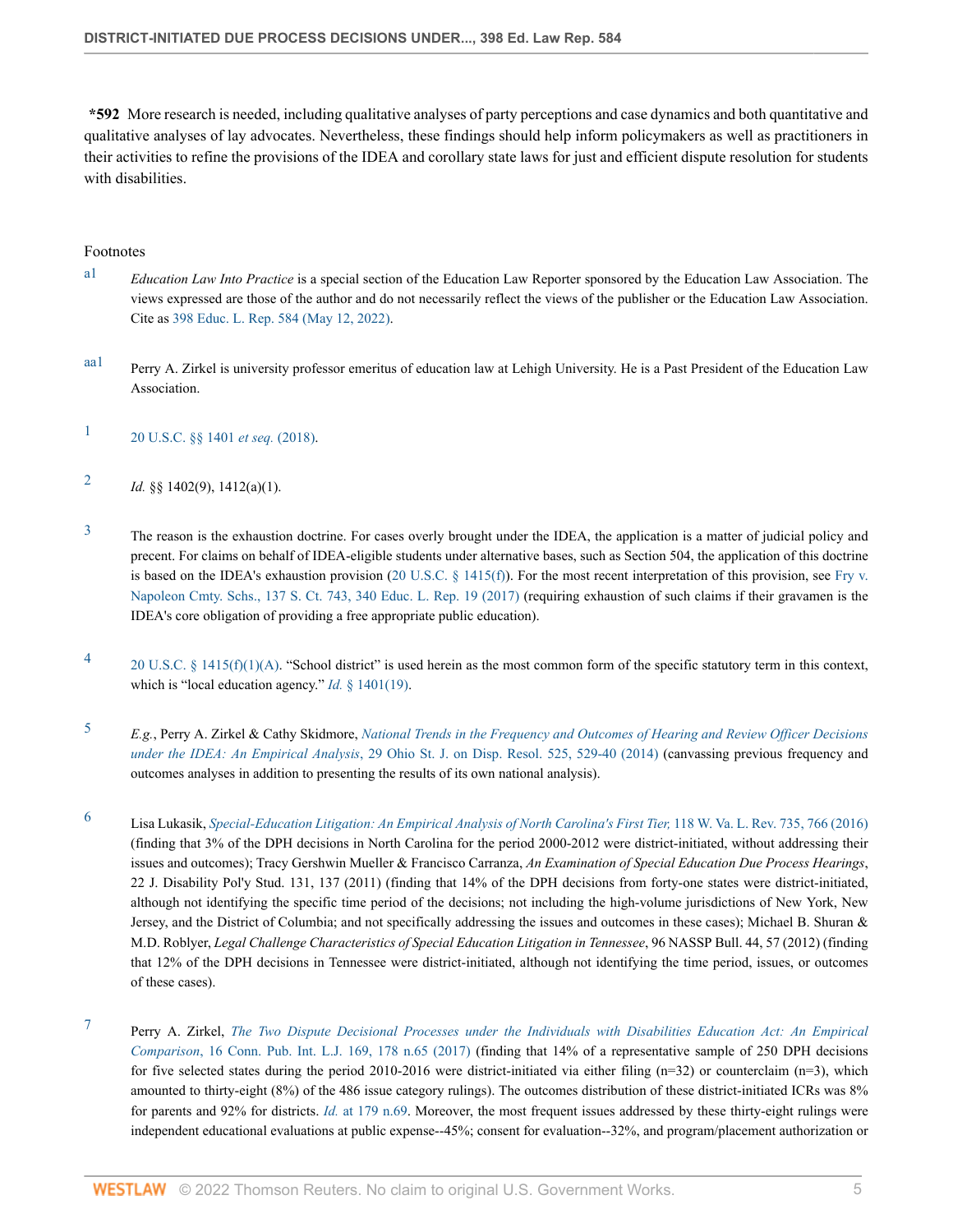**\*592** More research is needed, including qualitative analyses of party perceptions and case dynamics and both quantitative and qualitative analyses of lay advocates. Nevertheless, these findings should help inform policymakers as well as practitioners in their activities to refine the provisions of the IDEA and corollary state laws for just and efficient dispute resolution for students with disabilities.

### Footnotes

- <span id="page-4-1"></span>[a1](#page-0-0) *Education Law Into Practice* is a special section of the Education Law Reporter sponsored by the Education Law Association. The views expressed are those of the author and do not necessarily reflect the views of the publisher or the Education Law Association. Cite as [398 Educ. L. Rep. 584 \(May 12, 2022\).](http://www.westlaw.com/Link/Document/FullText?findType=Y&pubNum=0000960&cite=398EDLAW584&originatingDoc=I8fa0a404d27c11ec9f24ec7b211d8087&refType=RP&originationContext=document&vr=3.0&rs=cblt1.0&transitionType=DocumentItem&contextData=(sc.Search))
- <span id="page-4-0"></span>aa<sup>1</sup> Perry A. Zirkel is university professor emeritus of education law at Lehigh University. He is a Past President of the Education Law Association.
- <span id="page-4-2"></span>[1](#page-0-2) [20 U.S.C. §§ 1401](http://www.westlaw.com/Link/Document/FullText?findType=L&pubNum=1000546&cite=20USCAS1401&originatingDoc=I8fa0a404d27c11ec9f24ec7b211d8087&refType=LQ&originationContext=document&vr=3.0&rs=cblt1.0&transitionType=DocumentItem&contextData=(sc.Search)) *et seq.* (2018).
- <span id="page-4-3"></span>[2](#page-0-3) *Id.* §§ 1402(9), 1412(a)(1).
- <span id="page-4-4"></span><sup>[3](#page-0-4)</sup> The reason is the exhaustion doctrine. For cases overly brought under the IDEA, the application is a matter of judicial policy and precent. For claims on behalf of IDEA-eligible students under alternative bases, such as Section 504, the application of this doctrine is based on the IDEA's exhaustion provision ([20 U.S.C. § 1415\(f\)\)](http://www.westlaw.com/Link/Document/FullText?findType=L&pubNum=1000546&cite=20USCAS1415&originatingDoc=I8fa0a404d27c11ec9f24ec7b211d8087&refType=RB&originationContext=document&vr=3.0&rs=cblt1.0&transitionType=DocumentItem&contextData=(sc.Search)#co_pp_ae0d0000c5150). For the most recent interpretation of this provision, see [Fry v.](http://www.westlaw.com/Link/Document/FullText?findType=Y&serNum=2040992792&pubNum=0000960&originatingDoc=I8fa0a404d27c11ec9f24ec7b211d8087&refType=RP&originationContext=document&vr=3.0&rs=cblt1.0&transitionType=DocumentItem&contextData=(sc.Search)) [Napoleon Cmty. Schs., 137 S. Ct. 743, 340 Educ. L. Rep. 19 \(2017\)](http://www.westlaw.com/Link/Document/FullText?findType=Y&serNum=2040992792&pubNum=0000960&originatingDoc=I8fa0a404d27c11ec9f24ec7b211d8087&refType=RP&originationContext=document&vr=3.0&rs=cblt1.0&transitionType=DocumentItem&contextData=(sc.Search)) (requiring exhaustion of such claims if their gravamen is the IDEA's core obligation of providing a free appropriate public education).
- <span id="page-4-5"></span>[4](#page-0-5) [20 U.S.C. § 1415\(f\)\(1\)\(A\)](http://www.westlaw.com/Link/Document/FullText?findType=L&pubNum=1000546&cite=20USCAS1415&originatingDoc=I8fa0a404d27c11ec9f24ec7b211d8087&refType=RB&originationContext=document&vr=3.0&rs=cblt1.0&transitionType=DocumentItem&contextData=(sc.Search)#co_pp_85d10000e5e07). "School district" is used herein as the most common form of the specific statutory term in this context, which is "local education agency." *Id.* [§ 1401\(19\)](http://www.westlaw.com/Link/Document/FullText?findType=L&pubNum=1000546&cite=20USCAS1401&originatingDoc=I8fa0a404d27c11ec9f24ec7b211d8087&refType=RB&originationContext=document&vr=3.0&rs=cblt1.0&transitionType=DocumentItem&contextData=(sc.Search)#co_pp_828f000092994).
- <span id="page-4-6"></span>[5](#page-0-6) *E.g.*, Perry A. Zirkel & Cathy Skidmore, *[National Trends in the Frequency and Outcomes of Hearing and Review Officer Decisions](http://www.westlaw.com/Link/Document/FullText?findType=Y&serNum=0415410940&pubNum=0001494&originatingDoc=I8fa0a404d27c11ec9f24ec7b211d8087&refType=LR&fi=co_pp_sp_1494_529&originationContext=document&vr=3.0&rs=cblt1.0&transitionType=DocumentItem&contextData=(sc.Search)#co_pp_sp_1494_529) under the IDEA: An Empirical Analysis*[, 29 Ohio St. J. on Disp. Resol. 525, 529-40 \(2014\)](http://www.westlaw.com/Link/Document/FullText?findType=Y&serNum=0415410940&pubNum=0001494&originatingDoc=I8fa0a404d27c11ec9f24ec7b211d8087&refType=LR&fi=co_pp_sp_1494_529&originationContext=document&vr=3.0&rs=cblt1.0&transitionType=DocumentItem&contextData=(sc.Search)#co_pp_sp_1494_529) (canvassing previous frequency and outcomes analyses in addition to presenting the results of its own national analysis).
- <span id="page-4-7"></span>[6](#page-0-7) Lisa Lukasik, *[Special-Education Litigation: An Empirical Analysis of North Carolina's First Tier,](http://www.westlaw.com/Link/Document/FullText?findType=Y&serNum=0441919608&pubNum=0001280&originatingDoc=I8fa0a404d27c11ec9f24ec7b211d8087&refType=LR&fi=co_pp_sp_1280_766&originationContext=document&vr=3.0&rs=cblt1.0&transitionType=DocumentItem&contextData=(sc.Search)#co_pp_sp_1280_766)* 118 W. Va. L. Rev. 735, 766 (2016) (finding that 3% of the DPH decisions in North Carolina for the period 2000-2012 were district-initiated, without addressing their issues and outcomes); Tracy Gershwin Mueller & Francisco Carranza, *An Examination of Special Education Due Process Hearings*, 22 J. Disability Pol'y Stud. 131, 137 (2011) (finding that 14% of the DPH decisions from forty-one states were district-initiated, although not identifying the specific time period of the decisions; not including the high-volume jurisdictions of New York, New Jersey, and the District of Columbia; and not specifically addressing the issues and outcomes in these cases); Michael B. Shuran & M.D. Roblyer, *Legal Challenge Characteristics of Special Education Litigation in Tennessee*, 96 NASSP Bull. 44, 57 (2012) (finding that 12% of the DPH decisions in Tennessee were district-initiated, although not identifying the time period, issues, or outcomes of these cases).
- <span id="page-4-8"></span>[7](#page-0-8) Perry A. Zirkel, *[The Two Dispute Decisional Processes under the Individuals with Disabilities Education Act: An Empirical](http://www.westlaw.com/Link/Document/FullText?findType=Y&serNum=0463715997&pubNum=0176258&originatingDoc=I8fa0a404d27c11ec9f24ec7b211d8087&refType=LR&fi=co_pp_sp_176258_178&originationContext=document&vr=3.0&rs=cblt1.0&transitionType=DocumentItem&contextData=(sc.Search)#co_pp_sp_176258_178) Comparison*[, 16 Conn. Pub. Int. L.J. 169, 178 n.65 \(2017\)](http://www.westlaw.com/Link/Document/FullText?findType=Y&serNum=0463715997&pubNum=0176258&originatingDoc=I8fa0a404d27c11ec9f24ec7b211d8087&refType=LR&fi=co_pp_sp_176258_178&originationContext=document&vr=3.0&rs=cblt1.0&transitionType=DocumentItem&contextData=(sc.Search)#co_pp_sp_176258_178) (finding that 14% of a representative sample of 250 DPH decisions for five selected states during the period 2010-2016 were district-initiated via either filing  $(n=32)$  or counterclaim  $(n=3)$ , which amounted to thirty-eight (8%) of the 486 issue category rulings). The outcomes distribution of these district-initiated ICRs was 8% for parents and 92% for districts. *Id.* [at 179 n.69.](http://www.westlaw.com/Link/Document/FullText?findType=Y&serNum=0463715997&pubNum=0176258&originatingDoc=I8fa0a404d27c11ec9f24ec7b211d8087&refType=LR&fi=co_pp_sp_176258_179&originationContext=document&vr=3.0&rs=cblt1.0&transitionType=DocumentItem&contextData=(sc.Search)#co_pp_sp_176258_179) Moreover, the most frequent issues addressed by these thirty-eight rulings were independent educational evaluations at public expense--45%; consent for evaluation--32%, and program/placement authorization or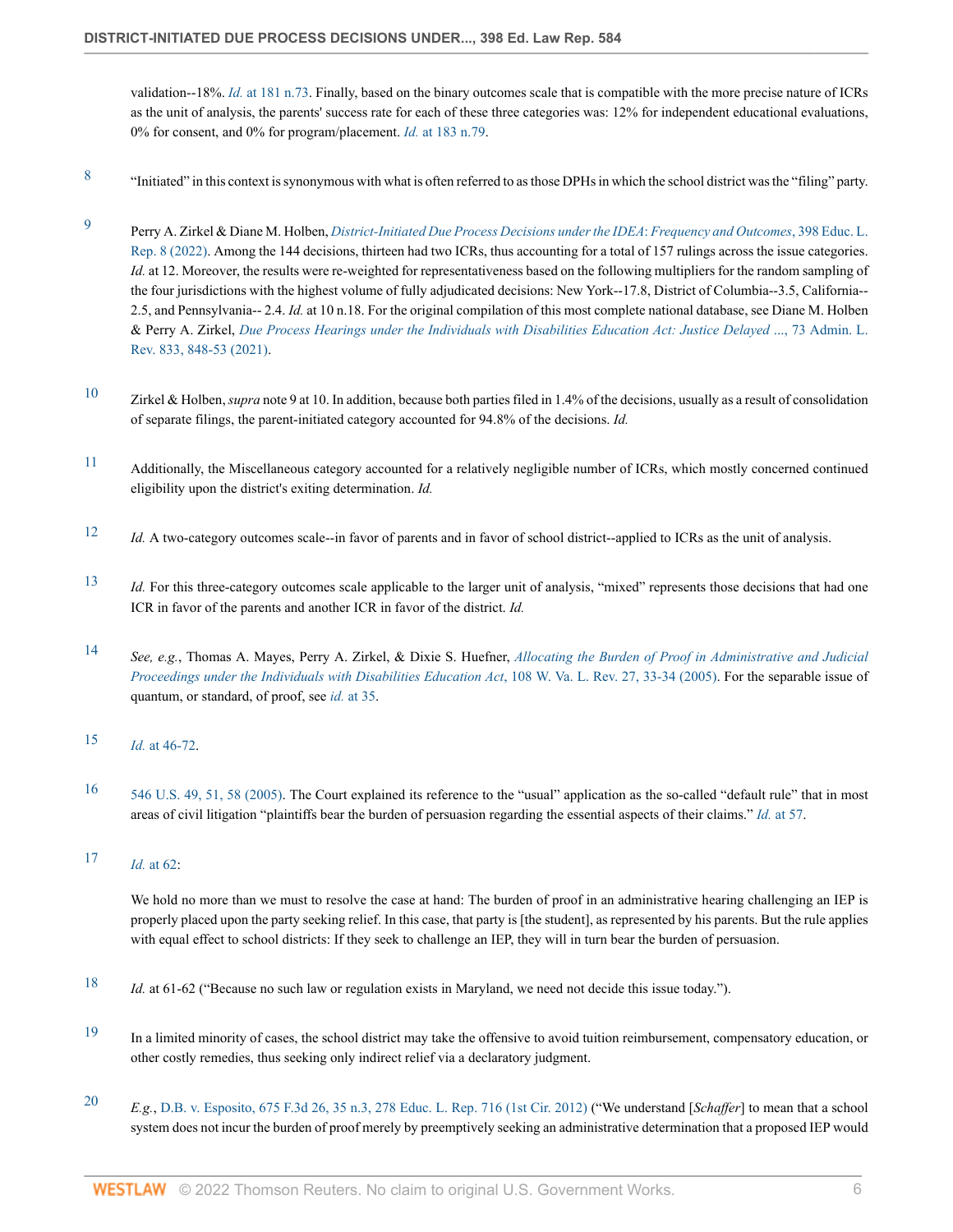validation--18%. *Id.* [at 181 n.73.](http://www.westlaw.com/Link/Document/FullText?findType=Y&serNum=0463715997&pubNum=0176258&originatingDoc=I8fa0a404d27c11ec9f24ec7b211d8087&refType=LR&fi=co_pp_sp_176258_181&originationContext=document&vr=3.0&rs=cblt1.0&transitionType=DocumentItem&contextData=(sc.Search)#co_pp_sp_176258_181) Finally, based on the binary outcomes scale that is compatible with the more precise nature of ICRs as the unit of analysis, the parents' success rate for each of these three categories was: 12% for independent educational evaluations, 0% for consent, and 0% for program/placement. *Id.* [at 183 n.79.](http://www.westlaw.com/Link/Document/FullText?findType=Y&serNum=0463715997&pubNum=0176258&originatingDoc=I8fa0a404d27c11ec9f24ec7b211d8087&refType=LR&fi=co_pp_sp_176258_183&originationContext=document&vr=3.0&rs=cblt1.0&transitionType=DocumentItem&contextData=(sc.Search)#co_pp_sp_176258_183)

- <span id="page-5-0"></span>[8](#page-0-9) "Initiated" in this context is synonymous with what is often referred to as those DPHs in which the school district was the "filing" party.
- <span id="page-5-1"></span>[9](#page-0-10) Perry A. Zirkel & Diane M. Holben, *[District-Initiated Due Process Decisions under the IDEA](http://www.westlaw.com/Link/Document/FullText?findType=Y&pubNum=0000960&cite=398EDLAW8&originatingDoc=I8fa0a404d27c11ec9f24ec7b211d8087&refType=RP&originationContext=document&vr=3.0&rs=cblt1.0&transitionType=DocumentItem&contextData=(sc.Search))*: *Frequency and Outcomes*, 398 Educ. L. [Rep. 8 \(2022\)](http://www.westlaw.com/Link/Document/FullText?findType=Y&pubNum=0000960&cite=398EDLAW8&originatingDoc=I8fa0a404d27c11ec9f24ec7b211d8087&refType=RP&originationContext=document&vr=3.0&rs=cblt1.0&transitionType=DocumentItem&contextData=(sc.Search)). Among the 144 decisions, thirteen had two ICRs, thus accounting for a total of 157 rulings across the issue categories. *Id.* at 12. Moreover, the results were re-weighted for representativeness based on the following multipliers for the random sampling of the four jurisdictions with the highest volume of fully adjudicated decisions: New York--17.8, District of Columbia--3.5, California-- 2.5, and Pennsylvania-- 2.4. *Id.* at 10 n.18. For the original compilation of this most complete national database, see Diane M. Holben & Perry A. Zirkel, *[Due Process Hearings under the Individuals with Disabilities Education Act: Justice Delayed](http://www.westlaw.com/Link/Document/FullText?findType=Y&serNum=0517532859&pubNum=0100040&originatingDoc=I8fa0a404d27c11ec9f24ec7b211d8087&refType=LR&fi=co_pp_sp_100040_848&originationContext=document&vr=3.0&rs=cblt1.0&transitionType=DocumentItem&contextData=(sc.Search)#co_pp_sp_100040_848)* ..., 73 Admin. L. [Rev. 833, 848-53 \(2021\)](http://www.westlaw.com/Link/Document/FullText?findType=Y&serNum=0517532859&pubNum=0100040&originatingDoc=I8fa0a404d27c11ec9f24ec7b211d8087&refType=LR&fi=co_pp_sp_100040_848&originationContext=document&vr=3.0&rs=cblt1.0&transitionType=DocumentItem&contextData=(sc.Search)#co_pp_sp_100040_848).
- <span id="page-5-2"></span><sup>[10](#page-0-11)</sup> Zirkel & Holben, *supra* note 9 at 10. In addition, because both parties filed in 1.4% of the decisions, usually as a result of consolidation of separate filings, the parent-initiated category accounted for 94.8% of the decisions. *Id.*
- <span id="page-5-3"></span>[11](#page-0-12) Additionally, the Miscellaneous category accounted for a relatively negligible number of ICRs, which mostly concerned continued eligibility upon the district's exiting determination. *Id.*
- <span id="page-5-4"></span>[12](#page-0-13) *Id.* A two-category outcomes scale--in favor of parents and in favor of school district--applied to ICRs as the unit of analysis.
- <span id="page-5-5"></span>[13](#page-0-14) *Id.* For this three-category outcomes scale applicable to the larger unit of analysis, "mixed" represents those decisions that had one ICR in favor of the parents and another ICR in favor of the district. *Id.*
- <span id="page-5-6"></span>[14](#page-0-15) *See, e.g.*, Thomas A. Mayes, Perry A. Zirkel, & Dixie S. Huefner, *[Allocating the Burden of Proof in Administrative and Judicial](http://www.westlaw.com/Link/Document/FullText?findType=Y&serNum=0307842236&pubNum=0001280&originatingDoc=I8fa0a404d27c11ec9f24ec7b211d8087&refType=LR&fi=co_pp_sp_1280_33&originationContext=document&vr=3.0&rs=cblt1.0&transitionType=DocumentItem&contextData=(sc.Search)#co_pp_sp_1280_33) [Proceedings under the Individuals with Disabilities Education Act](http://www.westlaw.com/Link/Document/FullText?findType=Y&serNum=0307842236&pubNum=0001280&originatingDoc=I8fa0a404d27c11ec9f24ec7b211d8087&refType=LR&fi=co_pp_sp_1280_33&originationContext=document&vr=3.0&rs=cblt1.0&transitionType=DocumentItem&contextData=(sc.Search)#co_pp_sp_1280_33)*, 108 W. Va. L. Rev. 27, 33-34 (2005). For the separable issue of quantum, or standard, of proof, see *id.* [at 35](http://www.westlaw.com/Link/Document/FullText?findType=Y&serNum=0307842236&pubNum=0001280&originatingDoc=I8fa0a404d27c11ec9f24ec7b211d8087&refType=LR&fi=co_pp_sp_1280_35&originationContext=document&vr=3.0&rs=cblt1.0&transitionType=DocumentItem&contextData=(sc.Search)#co_pp_sp_1280_35).
- <span id="page-5-7"></span>[15](#page-0-16) *Id.* [at 46-72.](http://www.westlaw.com/Link/Document/FullText?findType=Y&serNum=0307842236&pubNum=0001280&originatingDoc=I8fa0a404d27c11ec9f24ec7b211d8087&refType=LR&fi=co_pp_sp_1280_46&originationContext=document&vr=3.0&rs=cblt1.0&transitionType=DocumentItem&contextData=(sc.Search)#co_pp_sp_1280_46)
- <span id="page-5-8"></span>[16](#page-0-17) [546 U.S. 49, 51, 58 \(2005\)](http://www.westlaw.com/Link/Document/FullText?findType=Y&serNum=2007684234&pubNum=0000780&originatingDoc=I8fa0a404d27c11ec9f24ec7b211d8087&refType=RP&fi=co_pp_sp_780_51&originationContext=document&vr=3.0&rs=cblt1.0&transitionType=DocumentItem&contextData=(sc.Search)#co_pp_sp_780_51). The Court explained its reference to the "usual" application as the so-called "default rule" that in most areas of civil litigation "plaintiffs bear the burden of persuasion regarding the essential aspects of their claims." *Id.* [at 57](http://www.westlaw.com/Link/Document/FullText?findType=Y&serNum=2007684234&pubNum=0000780&originatingDoc=I8fa0a404d27c11ec9f24ec7b211d8087&refType=RP&fi=co_pp_sp_780_57&originationContext=document&vr=3.0&rs=cblt1.0&transitionType=DocumentItem&contextData=(sc.Search)#co_pp_sp_780_57).
- <span id="page-5-9"></span>[17](#page-1-0) *Id.* [at 62:](http://www.westlaw.com/Link/Document/FullText?findType=Y&serNum=2007684234&pubNum=0000780&originatingDoc=I8fa0a404d27c11ec9f24ec7b211d8087&refType=RP&fi=co_pp_sp_780_62&originationContext=document&vr=3.0&rs=cblt1.0&transitionType=DocumentItem&contextData=(sc.Search)#co_pp_sp_780_62)

We hold no more than we must to resolve the case at hand: The burden of proof in an administrative hearing challenging an IEP is properly placed upon the party seeking relief. In this case, that party is [the student], as represented by his parents. But the rule applies with equal effect to school districts: If they seek to challenge an IEP, they will in turn bear the burden of persuasion.

- <span id="page-5-10"></span>[18](#page-1-1) *Id.* at 61-62 ("Because no such law or regulation exists in Maryland, we need not decide this issue today.").
- <span id="page-5-11"></span><sup>[19](#page-1-2)</sup> In a limited minority of cases, the school district may take the offensive to avoid tuition reimbursement, compensatory education, or other costly remedies, thus seeking only indirect relief via a declaratory judgment.
- <span id="page-5-12"></span>[20](#page-1-3) *E.g.*, [D.B. v. Esposito, 675 F.3d 26, 35 n.3, 278 Educ. L. Rep. 716 \(1st Cir. 2012\)](http://www.westlaw.com/Link/Document/FullText?findType=Y&serNum=2027368932&pubNum=0000960&originatingDoc=I8fa0a404d27c11ec9f24ec7b211d8087&refType=RP&originationContext=document&vr=3.0&rs=cblt1.0&transitionType=DocumentItem&contextData=(sc.Search)) ("We understand [*Schaffer*] to mean that a school system does not incur the burden of proof merely by preemptively seeking an administrative determination that a proposed IEP would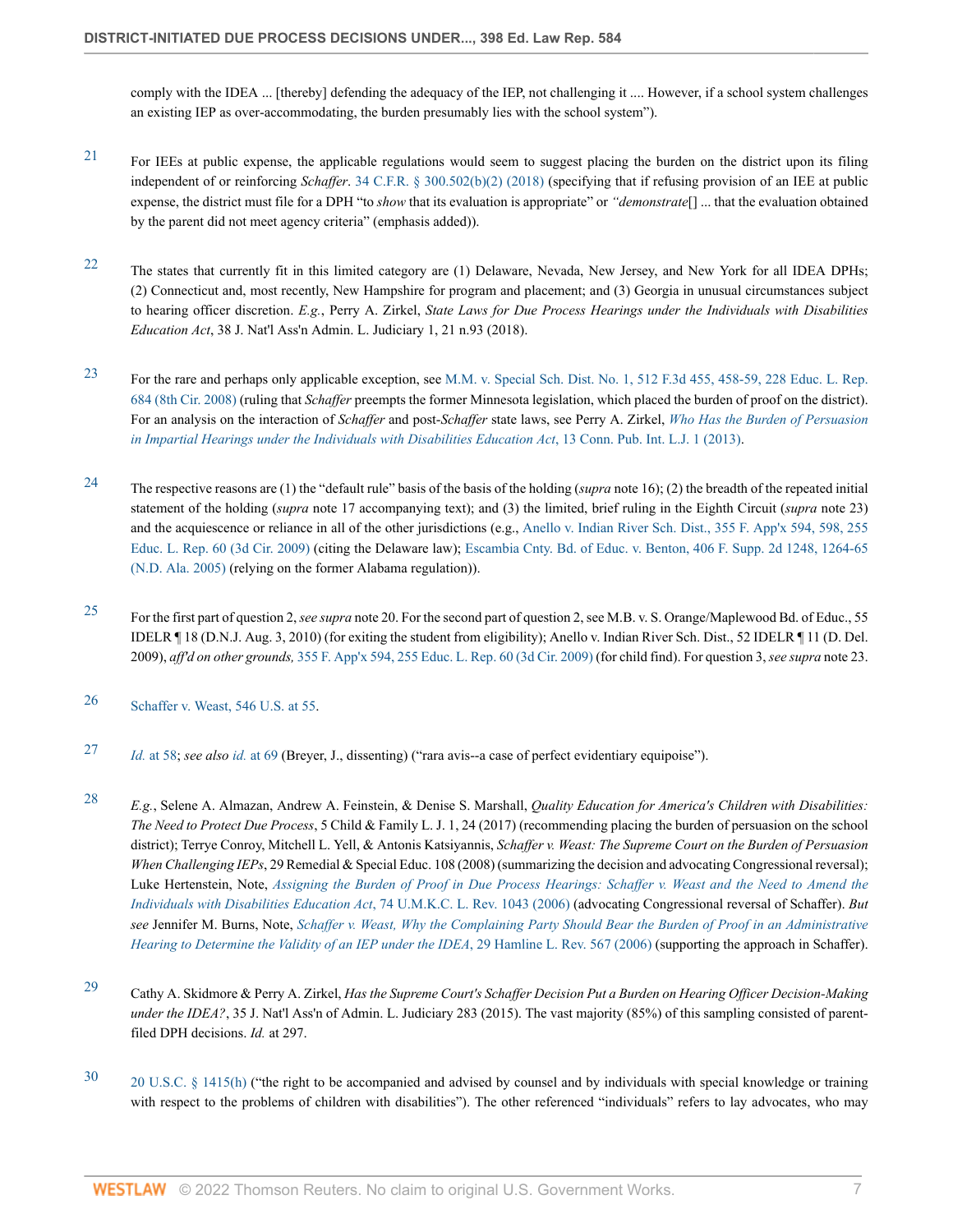comply with the IDEA ... [thereby] defending the adequacy of the IEP, not challenging it .... However, if a school system challenges an existing IEP as over-accommodating, the burden presumably lies with the school system").

- <span id="page-6-0"></span> $21$  For IEEs at public expense, the applicable regulations would seem to suggest placing the burden on the district upon its filing independent of or reinforcing *Schaffer*. [34 C.F.R. § 300.502\(b\)\(2\) \(2018\)](http://www.westlaw.com/Link/Document/FullText?findType=L&pubNum=1000547&cite=34CFRS300.502&originatingDoc=I8fa0a404d27c11ec9f24ec7b211d8087&refType=RB&originationContext=document&vr=3.0&rs=cblt1.0&transitionType=DocumentItem&contextData=(sc.Search)#co_pp_c0ae00006c482) (specifying that if refusing provision of an IEE at public expense, the district must file for a DPH "to *show* that its evaluation is appropriate" or *"demonstrate*[] ... that the evaluation obtained by the parent did not meet agency criteria" (emphasis added)).
- <span id="page-6-1"></span><sup>[22](#page-1-5)</sup> The states that currently fit in this limited category are (1) Delaware, Nevada, New Jersey, and New York for all IDEA DPHs; (2) Connecticut and, most recently, New Hampshire for program and placement; and (3) Georgia in unusual circumstances subject to hearing officer discretion. *E.g.*, Perry A. Zirkel, *State Laws for Due Process Hearings under the Individuals with Disabilities Education Act*, 38 J. Nat'l Ass'n Admin. L. Judiciary 1, 21 n.93 (2018).
- <span id="page-6-2"></span>[23](#page-1-6) For the rare and perhaps only applicable exception, see [M.M. v. Special Sch. Dist. No. 1, 512 F.3d 455, 458-59, 228 Educ. L. Rep.](http://www.westlaw.com/Link/Document/FullText?findType=Y&serNum=2014605651&pubNum=0000960&originatingDoc=I8fa0a404d27c11ec9f24ec7b211d8087&refType=RP&originationContext=document&vr=3.0&rs=cblt1.0&transitionType=DocumentItem&contextData=(sc.Search)) [684 \(8th Cir. 2008\)](http://www.westlaw.com/Link/Document/FullText?findType=Y&serNum=2014605651&pubNum=0000960&originatingDoc=I8fa0a404d27c11ec9f24ec7b211d8087&refType=RP&originationContext=document&vr=3.0&rs=cblt1.0&transitionType=DocumentItem&contextData=(sc.Search)) (ruling that *Schaffer* preempts the former Minnesota legislation, which placed the burden of proof on the district). For an analysis on the interaction of *Schaffer* and post-*Schaffer* state laws, see Perry A. Zirkel, *[Who Has the Burden of Persuasion](http://www.westlaw.com/Link/Document/FullText?findType=Y&serNum=0397734212&pubNum=0176258&originatingDoc=I8fa0a404d27c11ec9f24ec7b211d8087&refType=LR&originationContext=document&vr=3.0&rs=cblt1.0&transitionType=DocumentItem&contextData=(sc.Search)) [in Impartial Hearings under the Individuals with Disabilities Education Act](http://www.westlaw.com/Link/Document/FullText?findType=Y&serNum=0397734212&pubNum=0176258&originatingDoc=I8fa0a404d27c11ec9f24ec7b211d8087&refType=LR&originationContext=document&vr=3.0&rs=cblt1.0&transitionType=DocumentItem&contextData=(sc.Search))*, 13 Conn. Pub. Int. L.J. 1 (2013).
- <span id="page-6-3"></span>[24](#page-1-7) The respective reasons are (1) the "default rule" basis of the basis of the holding (*supra* note 16); (2) the breadth of the repeated initial statement of the holding (*supra* note 17 accompanying text); and (3) the limited, brief ruling in the Eighth Circuit (*supra* note 23) and the acquiescence or reliance in all of the other jurisdictions (e.g., [Anello v. Indian River Sch. Dist., 355 F. App'x 594, 598, 255](http://www.westlaw.com/Link/Document/FullText?findType=Y&serNum=2020710606&pubNum=0000960&originatingDoc=I8fa0a404d27c11ec9f24ec7b211d8087&refType=RP&originationContext=document&vr=3.0&rs=cblt1.0&transitionType=DocumentItem&contextData=(sc.Search)) [Educ. L. Rep. 60 \(3d Cir. 2009\)](http://www.westlaw.com/Link/Document/FullText?findType=Y&serNum=2020710606&pubNum=0000960&originatingDoc=I8fa0a404d27c11ec9f24ec7b211d8087&refType=RP&originationContext=document&vr=3.0&rs=cblt1.0&transitionType=DocumentItem&contextData=(sc.Search)) (citing the Delaware law); [Escambia Cnty. Bd. of Educ. v. Benton, 406 F. Supp. 2d 1248, 1264-65](http://www.westlaw.com/Link/Document/FullText?findType=Y&serNum=2007987839&pubNum=0004637&originatingDoc=I8fa0a404d27c11ec9f24ec7b211d8087&refType=RP&fi=co_pp_sp_4637_1264&originationContext=document&vr=3.0&rs=cblt1.0&transitionType=DocumentItem&contextData=(sc.Search)#co_pp_sp_4637_1264) [\(N.D. Ala. 2005\)](http://www.westlaw.com/Link/Document/FullText?findType=Y&serNum=2007987839&pubNum=0004637&originatingDoc=I8fa0a404d27c11ec9f24ec7b211d8087&refType=RP&fi=co_pp_sp_4637_1264&originationContext=document&vr=3.0&rs=cblt1.0&transitionType=DocumentItem&contextData=(sc.Search)#co_pp_sp_4637_1264) (relying on the former Alabama regulation)).
- <span id="page-6-4"></span>[25](#page-1-8) For the first part of question 2, *see supra* note 20. For the second part of question 2, see M.B. v. S. Orange/Maplewood Bd. of Educ., 55 IDELR ¶ 18 (D.N.J. Aug. 3, 2010) (for exiting the student from eligibility); Anello v. Indian River Sch. Dist., 52 IDELR ¶ 11 (D. Del. 2009), *aff'd on other grounds,* [355 F. App'x 594, 255 Educ. L. Rep. 60 \(3d Cir. 2009\)](http://www.westlaw.com/Link/Document/FullText?findType=Y&serNum=2020710606&pubNum=0000960&originatingDoc=I8fa0a404d27c11ec9f24ec7b211d8087&refType=RP&originationContext=document&vr=3.0&rs=cblt1.0&transitionType=DocumentItem&contextData=(sc.Search)) (for child find). For question 3, *see supra* note 23.
- <span id="page-6-5"></span>[26](#page-1-9) [Schaffer v. Weast, 546 U.S. at 55.](http://www.westlaw.com/Link/Document/FullText?findType=Y&serNum=2007684234&pubNum=0000780&originatingDoc=I8fa0a404d27c11ec9f24ec7b211d8087&refType=RP&fi=co_pp_sp_780_55&originationContext=document&vr=3.0&rs=cblt1.0&transitionType=DocumentItem&contextData=(sc.Search)#co_pp_sp_780_55)
- <span id="page-6-6"></span>[27](#page-1-10) *Id.* [at 58;](http://www.westlaw.com/Link/Document/FullText?findType=Y&serNum=2007684234&pubNum=0000780&originatingDoc=I8fa0a404d27c11ec9f24ec7b211d8087&refType=RP&fi=co_pp_sp_780_58&originationContext=document&vr=3.0&rs=cblt1.0&transitionType=DocumentItem&contextData=(sc.Search)#co_pp_sp_780_58) *see also id.* [at 69](http://www.westlaw.com/Link/Document/FullText?findType=Y&serNum=2007684234&pubNum=0000780&originatingDoc=I8fa0a404d27c11ec9f24ec7b211d8087&refType=RP&fi=co_pp_sp_780_69&originationContext=document&vr=3.0&rs=cblt1.0&transitionType=DocumentItem&contextData=(sc.Search)#co_pp_sp_780_69) (Breyer, J., dissenting) ("rara avis--a case of perfect evidentiary equipoise").
- <span id="page-6-7"></span>[28](#page-1-11) *E.g.*, Selene A. Almazan, Andrew A. Feinstein, & Denise S. Marshall, *Quality Education for America's Children with Disabilities: The Need to Protect Due Process*, 5 Child & Family L. J. 1, 24 (2017) (recommending placing the burden of persuasion on the school district); Terrye Conroy, Mitchell L. Yell, & Antonis Katsiyannis, *Schaffer v. Weast: The Supreme Court on the Burden of Persuasion When Challenging IEPs*, 29 Remedial & Special Educ. 108 (2008) (summarizing the decision and advocating Congressional reversal); Luke Hertenstein, Note, *[Assigning the Burden of Proof in Due Process Hearings: Schaffer v. Weast and the Need to Amend the](http://www.westlaw.com/Link/Document/FullText?findType=Y&serNum=0327377579&pubNum=0001265&originatingDoc=I8fa0a404d27c11ec9f24ec7b211d8087&refType=LR&originationContext=document&vr=3.0&rs=cblt1.0&transitionType=DocumentItem&contextData=(sc.Search)) [Individuals with Disabilities Education Act](http://www.westlaw.com/Link/Document/FullText?findType=Y&serNum=0327377579&pubNum=0001265&originatingDoc=I8fa0a404d27c11ec9f24ec7b211d8087&refType=LR&originationContext=document&vr=3.0&rs=cblt1.0&transitionType=DocumentItem&contextData=(sc.Search))*, 74 U.M.K.C. L. Rev. 1043 (2006) (advocating Congressional reversal of Schaffer). *But see* Jennifer M. Burns, Note, *[Schaffer v. Weast, Why the Complaining Party Should Bear the Burden of Proof in an Administrative](http://www.westlaw.com/Link/Document/FullText?findType=Y&serNum=0327666232&pubNum=0001150&originatingDoc=I8fa0a404d27c11ec9f24ec7b211d8087&refType=LR&originationContext=document&vr=3.0&rs=cblt1.0&transitionType=DocumentItem&contextData=(sc.Search)) [Hearing to Determine the Validity of an IEP under the IDEA](http://www.westlaw.com/Link/Document/FullText?findType=Y&serNum=0327666232&pubNum=0001150&originatingDoc=I8fa0a404d27c11ec9f24ec7b211d8087&refType=LR&originationContext=document&vr=3.0&rs=cblt1.0&transitionType=DocumentItem&contextData=(sc.Search))*, 29 Hamline L. Rev. 567 (2006) (supporting the approach in Schaffer).
- <span id="page-6-8"></span>[29](#page-1-12) Cathy A. Skidmore & Perry A. Zirkel, *Has the Supreme Court's Schaffer Decision Put a Burden on Hearing Officer Decision-Making under the IDEA?*, 35 J. Nat'l Ass'n of Admin. L. Judiciary 283 (2015). The vast majority (85%) of this sampling consisted of parentfiled DPH decisions. *Id.* at 297.
- <span id="page-6-9"></span> $30$  [20 U.S.C. § 1415\(h\)](http://www.westlaw.com/Link/Document/FullText?findType=L&pubNum=1000546&cite=20USCAS1415&originatingDoc=I8fa0a404d27c11ec9f24ec7b211d8087&refType=RB&originationContext=document&vr=3.0&rs=cblt1.0&transitionType=DocumentItem&contextData=(sc.Search)#co_pp_f383000077b35) ("the right to be accompanied and advised by counsel and by individuals with special knowledge or training with respect to the problems of children with disabilities"). The other referenced "individuals" refers to lay advocates, who may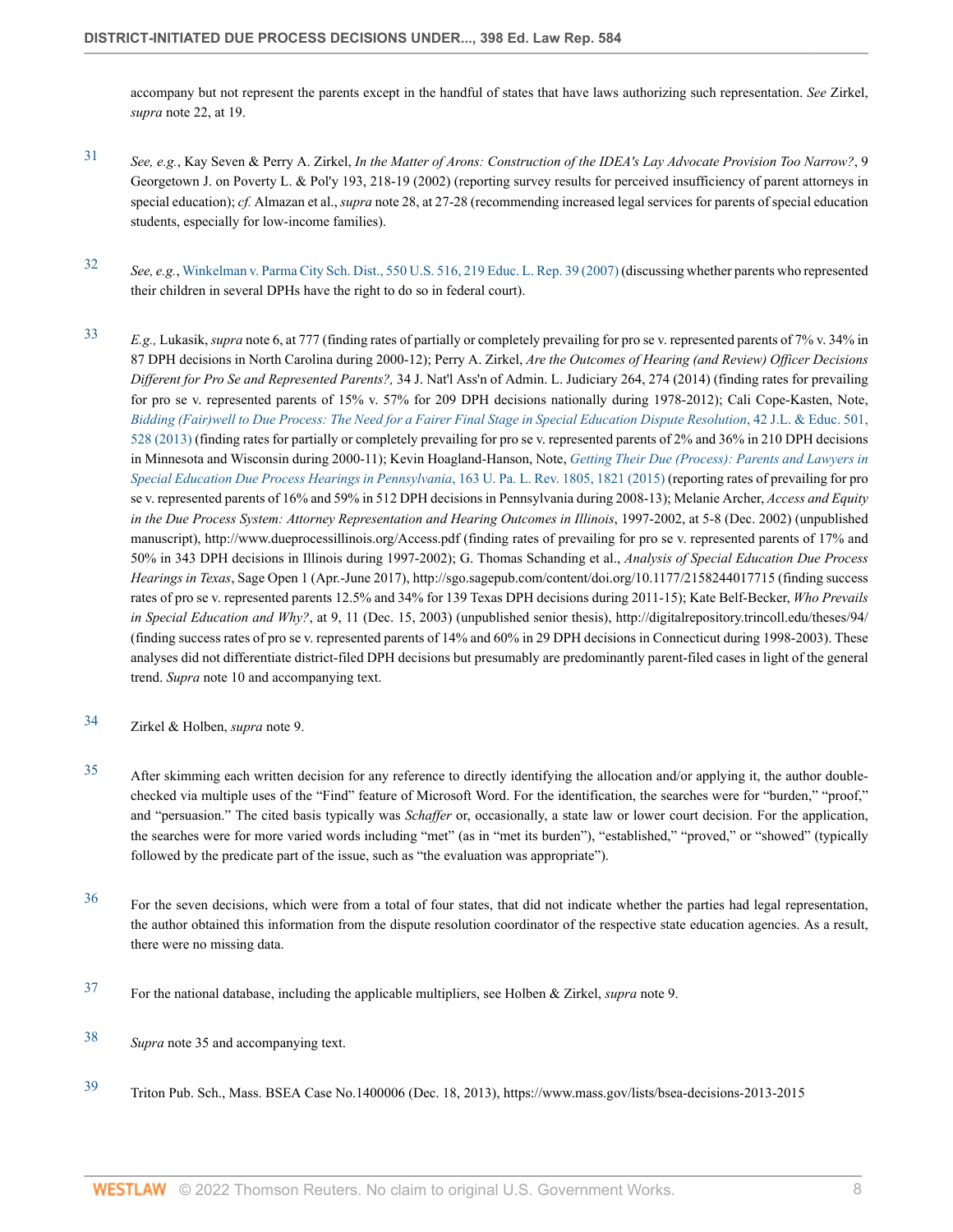accompany but not represent the parents except in the handful of states that have laws authorizing such representation. *See* Zirkel, *supra* note 22, at 19.

- <span id="page-7-0"></span>[31](#page-1-14) *See, e.g.*, Kay Seven & Perry A. Zirkel, *In the Matter of Arons: Construction of the IDEA's Lay Advocate Provision Too Narrow?*, 9 Georgetown J. on Poverty L. & Pol'y 193, 218-19 (2002) (reporting survey results for perceived insufficiency of parent attorneys in special education); *cf.* Almazan et al., *supra* note 28, at 27-28 (recommending increased legal services for parents of special education students, especially for low-income families).
- <span id="page-7-1"></span>[32](#page-1-15) *See, e.g.*, [Winkelman v. Parma City Sch. Dist., 550 U.S. 516, 219 Educ. L. Rep. 39 \(2007\)](http://www.westlaw.com/Link/Document/FullText?findType=Y&serNum=2012293424&pubNum=0000960&originatingDoc=I8fa0a404d27c11ec9f24ec7b211d8087&refType=RP&originationContext=document&vr=3.0&rs=cblt1.0&transitionType=DocumentItem&contextData=(sc.Search)) (discussing whether parents who represented their children in several DPHs have the right to do so in federal court).
- <span id="page-7-2"></span>[33](#page-1-16) *E.g.,* Lukasik, *supra* note 6, at 777 (finding rates of partially or completely prevailing for pro se v. represented parents of 7% v. 34% in 87 DPH decisions in North Carolina during 2000-12); Perry A. Zirkel, *Are the Outcomes of Hearing (and Review) Officer Decisions Different for Pro Se and Represented Parents?,* 34 J. Nat'l Ass'n of Admin. L. Judiciary 264, 274 (2014) (finding rates for prevailing for pro se v. represented parents of 15% v. 57% for 209 DPH decisions nationally during 1978-2012); Cali Cope-Kasten, Note, *[Bidding \(Fair\)well to Due Process: The Need for a Fairer Final Stage in Special Education Dispute Resolution](http://www.westlaw.com/Link/Document/FullText?findType=Y&serNum=0391027156&pubNum=0101505&originatingDoc=I8fa0a404d27c11ec9f24ec7b211d8087&refType=LR&fi=co_pp_sp_101505_528&originationContext=document&vr=3.0&rs=cblt1.0&transitionType=DocumentItem&contextData=(sc.Search)#co_pp_sp_101505_528)*, 42 J.L. & Educ. 501, [528 \(2013\)](http://www.westlaw.com/Link/Document/FullText?findType=Y&serNum=0391027156&pubNum=0101505&originatingDoc=I8fa0a404d27c11ec9f24ec7b211d8087&refType=LR&fi=co_pp_sp_101505_528&originationContext=document&vr=3.0&rs=cblt1.0&transitionType=DocumentItem&contextData=(sc.Search)#co_pp_sp_101505_528) (finding rates for partially or completely prevailing for pro se v. represented parents of 2% and 36% in 210 DPH decisions in Minnesota and Wisconsin during 2000-11); Kevin Hoagland-Hanson, Note, *[Getting Their Due \(Process\): Parents and Lawyers in](http://www.westlaw.com/Link/Document/FullText?findType=Y&serNum=0431752556&pubNum=0001268&originatingDoc=I8fa0a404d27c11ec9f24ec7b211d8087&refType=LR&fi=co_pp_sp_1268_1821&originationContext=document&vr=3.0&rs=cblt1.0&transitionType=DocumentItem&contextData=(sc.Search)#co_pp_sp_1268_1821) [Special Education Due Process Hearings in Pennsylvania](http://www.westlaw.com/Link/Document/FullText?findType=Y&serNum=0431752556&pubNum=0001268&originatingDoc=I8fa0a404d27c11ec9f24ec7b211d8087&refType=LR&fi=co_pp_sp_1268_1821&originationContext=document&vr=3.0&rs=cblt1.0&transitionType=DocumentItem&contextData=(sc.Search)#co_pp_sp_1268_1821)*, 163 U. Pa. L. Rev. 1805, 1821 (2015) (reporting rates of prevailing for pro se v. represented parents of 16% and 59% in 512 DPH decisions in Pennsylvania during 2008-13); Melanie Archer, *Access and Equity* in the Due Process System: Attorney Representation and Hearing Outcomes in Illinois, 1997-2002, at 5-8 (Dec. 2002) (unpublished manuscript), http://www.dueprocessillinois.org/Access.pdf (finding rates of prevailing for pro se v. represented parents of 17% and 50% in 343 DPH decisions in Illinois during 1997-2002); G. Thomas Schanding et al., *Analysis of Special Education Due Process Hearings in Texas*, Sage Open 1 (Apr.-June 2017), http://sgo.sagepub.com/content/doi.org/10.1177/2158244017715 (finding success rates of pro se v. represented parents 12.5% and 34% for 139 Texas DPH decisions during 2011-15); Kate Belf-Becker, *Who Prevails in Special Education and Why?*, at 9, 11 (Dec. 15, 2003) (unpublished senior thesis), http://digitalrepository.trincoll.edu/theses/94/ (finding success rates of pro se v. represented parents of 14% and 60% in 29 DPH decisions in Connecticut during 1998-2003). These analyses did not differentiate district-filed DPH decisions but presumably are predominantly parent-filed cases in light of the general trend. *Supra* note 10 and accompanying text.
- <span id="page-7-3"></span>[34](#page-1-17) Zirkel & Holben, *supra* note 9.
- <span id="page-7-4"></span> $35$  After skimming each written decision for any reference to directly identifying the allocation and/or applying it, the author doublechecked via multiple uses of the "Find" feature of Microsoft Word. For the identification, the searches were for "burden," "proof," and "persuasion." The cited basis typically was *Schaffer* or, occasionally, a state law or lower court decision. For the application, the searches were for more varied words including "met" (as in "met its burden"), "established," "proved," or "showed" (typically followed by the predicate part of the issue, such as "the evaluation was appropriate").
- <span id="page-7-5"></span><sup>[36](#page-1-19)</sup> For the seven decisions, which were from a total of four states, that did not indicate whether the parties had legal representation, the author obtained this information from the dispute resolution coordinator of the respective state education agencies. As a result, there were no missing data.
- <span id="page-7-6"></span>[37](#page-1-20) For the national database, including the applicable multipliers, see Holben & Zirkel, *supra* note 9.
- <span id="page-7-7"></span>[38](#page-2-0) *Supra* note 35 and accompanying text.
- <span id="page-7-8"></span>[39](#page-2-1) Triton Pub. Sch., Mass. BSEA Case No.1400006 (Dec. 18, 2013), https://www.mass.gov/lists/bsea-decisions-2013-2015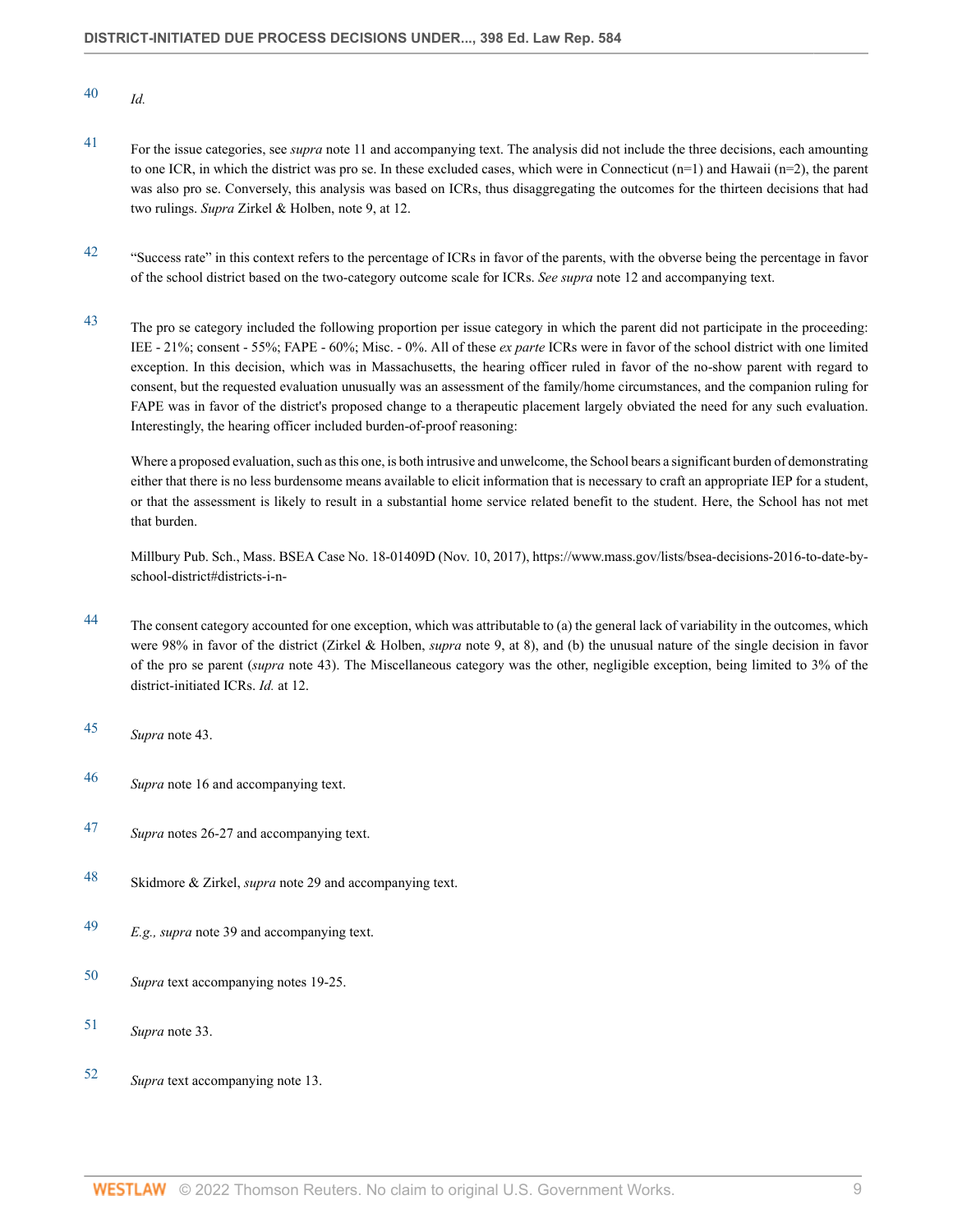- <span id="page-8-0"></span>[40](#page-2-2) *Id.*
- <span id="page-8-1"></span>[41](#page-2-3) For the issue categories, see *supra* note 11 and accompanying text. The analysis did not include the three decisions, each amounting to one ICR, in which the district was pro se. In these excluded cases, which were in Connecticut  $(n=1)$  and Hawaii  $(n=2)$ , the parent was also pro se. Conversely, this analysis was based on ICRs, thus disaggregating the outcomes for the thirteen decisions that had two rulings. *Supra* Zirkel & Holben, note 9, at 12.
- <span id="page-8-2"></span><sup>[42](#page-3-0)</sup> "Success rate" in this context refers to the percentage of ICRs in favor of the parents, with the obverse being the percentage in favor of the school district based on the two-category outcome scale for ICRs. *See supra* note 12 and accompanying text.
- <sup>43</sup> The pro se category included the following proportion per issue category in which the parent did not participate in the proceeding: IEE - 21%; consent - 55%; FAPE - 60%; Misc. - 0%. All of these *ex parte* ICRs were in favor of the school district with one limited exception. In this decision, which was in Massachusetts, the hearing officer ruled in favor of the no-show parent with regard to consent, but the requested evaluation unusually was an assessment of the family/home circumstances, and the companion ruling for FAPE was in favor of the district's proposed change to a therapeutic placement largely obviated the need for any such evaluation. Interestingly, the hearing officer included burden-of-proof reasoning:

Where a proposed evaluation, such as this one, is both intrusive and unwelcome, the School bears a significant burden of demonstrating either that there is no less burdensome means available to elicit information that is necessary to craft an appropriate IEP for a student, or that the assessment is likely to result in a substantial home service related benefit to the student. Here, the School has not met that burden.

Millbury Pub. Sch., Mass. BSEA Case No. 18-01409D (Nov. 10, 2017), https://www.mass.gov/lists/bsea-decisions-2016-to-date-byschool-district#districts-i-n-

- <span id="page-8-3"></span><sup>[44](#page-3-1)</sup> The consent category accounted for one exception, which was attributable to (a) the general lack of variability in the outcomes, which were 98% in favor of the district (Zirkel & Holben, *supra* note 9, at 8), and (b) the unusual nature of the single decision in favor of the pro se parent (*supra* note 43). The Miscellaneous category was the other, negligible exception, being limited to 3% of the district-initiated ICRs. *Id.* at 12.
- <span id="page-8-4"></span>[45](#page-3-2) *Supra* note 43.
- <span id="page-8-5"></span>[46](#page-3-3) *Supra* note 16 and accompanying text.
- <span id="page-8-6"></span>[47](#page-3-4) *Supra* notes 26-27 and accompanying text.
- <span id="page-8-7"></span>[48](#page-3-5) Skidmore & Zirkel, *supra* note 29 and accompanying text.
- <span id="page-8-8"></span>[49](#page-3-6) *E.g., supra* note 39 and accompanying text.
- <span id="page-8-9"></span>[50](#page-3-7) *Supra* text accompanying notes 19-25.
- <span id="page-8-10"></span>[51](#page-3-8) *Supra* note 33.
- <span id="page-8-11"></span>[52](#page-3-9) *Supra* text accompanying note 13.